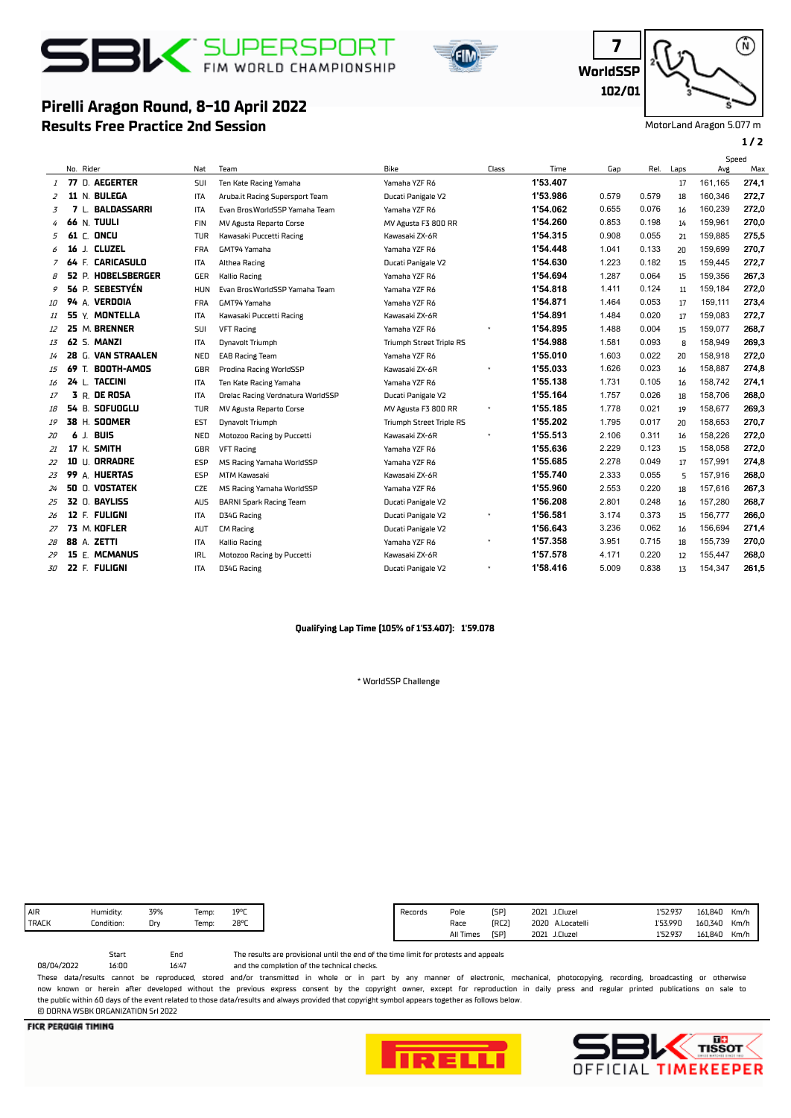

**Results Free Practice 2nd Session**

**Pirelli Aragon Round, 8-10 April 2022**



**WorldSSP 7 102/01**

⋒

MotorLand Aragon 5.077 m

## **1 / 2**

|               |       |           |                         |            |                                   |                                 |       |          |       |       |      | Speed   |       |
|---------------|-------|-----------|-------------------------|------------|-----------------------------------|---------------------------------|-------|----------|-------|-------|------|---------|-------|
|               |       | No. Rider |                         | Nat        | Team                              | Bike                            | Class | Time     | Gap   | Rel.  | Laps | Avg     | Max   |
| $\mathcal{I}$ |       |           | 77 D. AEGERTER          | <b>SUI</b> | Ten Kate Racing Yamaha            | Yamaha YZF R6                   |       | 1'53.407 |       |       | 17   | 161.165 | 274.1 |
| 2             |       |           | 11 N. BULEGA            | <b>ITA</b> | Aruba.it Racing Supersport Team   | Ducati Panigale V2              |       | 1'53.986 | 0.579 | 0.579 | 18   | 160,346 | 272,7 |
| 3             |       | 7 L.      | BALDASSARRI             | <b>ITA</b> | Evan Bros.WorldSSP Yamaha Team    | Yamaha YZF R6                   |       | 1'54.062 | 0.655 | 0.076 | 16   | 160.239 | 272,0 |
| 4             |       |           | <b>66 N. TUULI</b>      | <b>FIN</b> | MV Agusta Reparto Corse           | MV Agusta F3 800 RR             |       | 1'54.260 | 0.853 | 0.198 | 14   | 159,961 | 270,0 |
| 5             |       |           | 61 C. ONCU              | TUR        | Kawasaki Puccetti Racing          | Kawasaki ZX-6R                  |       | 1'54.315 | 0.908 | 0.055 | 21   | 159,885 | 275,5 |
| 6             | 16    | J.        | <b>CLUZEL</b>           | <b>FRA</b> | GMT94 Yamaha                      | Yamaha YZF R6                   |       | 1'54.448 | 1.041 | 0.133 | 20   | 159,699 | 270,7 |
|               |       |           | <b>64 F. CARICASULO</b> | <b>ITA</b> | Althea Racing                     | Ducati Panigale V2              |       | 1'54.630 | 1.223 | 0.182 | 15   | 159,445 | 272,7 |
| 8             |       |           | 52 P. HOBELSBERGER      | GER        | Kallio Racing                     | Yamaha YZF R6                   |       | 1'54.694 | 1.287 | 0.064 | 15   | 159,356 | 267,3 |
| 9             | 56 P. |           | <b>SEBESTYÉN</b>        | <b>HUN</b> | Evan Bros.WorldSSP Yamaha Team    | Yamaha YZF R6                   |       | 1'54.818 | 1.411 | 0.124 | 11   | 159,184 | 272,0 |
| 10            |       |           | 94 A. VERDOIA           | <b>FRA</b> | GMT94 Yamaha                      | Yamaha YZF R6                   |       | 1'54.871 | 1.464 | 0.053 | 17   | 159.111 | 273,4 |
| 11            |       |           | 55 Y. MONTELLA          | <b>ITA</b> | Kawasaki Puccetti Racing          | Kawasaki ZX-6R                  |       | 1'54.891 | 1.484 | 0.020 | 17   | 159.083 | 272,7 |
| 12            |       |           | 25 M. BRENNER           | <b>SUI</b> | <b>VFT Racing</b>                 | Yamaha YZF R6                   |       | 1'54.895 | 1.488 | 0.004 | 15   | 159,077 | 268,7 |
| 13            |       |           | 62 S. MANZI             | <b>ITA</b> | Dynavolt Triumph                  | <b>Triumph Street Triple RS</b> |       | 1'54.988 | 1.581 | 0.093 | 8    | 158,949 | 269,3 |
| 14            | 28    |           | G. VAN STRAALEN         | <b>NED</b> | <b>EAB Racing Team</b>            | Yamaha YZF R6                   |       | 1'55.010 | 1.603 | 0.022 | 20   | 158,918 | 272,0 |
| 15            | 69    | T.        | BOOTH-AMOS              | GBR        | Prodina Racing WorldSSP           | Kawasaki ZX-6R                  |       | 1'55.033 | 1.626 | 0.023 | 16   | 158,887 | 274,8 |
| 16            |       |           | 24 L. TACCINI           | <b>ITA</b> | Ten Kate Racing Yamaha            | Yamaha YZF R6                   |       | 1'55.138 | 1.731 | 0.105 | 16   | 158.742 | 274.1 |
| 17            |       |           | <b>3 R. DE ROSA</b>     | <b>ITA</b> | Orelac Racing Verdnatura WorldSSP | Ducati Panigale V2              |       | 1'55.164 | 1.757 | 0.026 | 18   | 158,706 | 268,0 |
| 18            |       |           | 54 B. SOFUOGLU          | <b>TUR</b> | MV Agusta Reparto Corse           | MV Agusta F3 800 RR             |       | 1'55.185 | 1.778 | 0.021 | 19   | 158.677 | 269.3 |
| 19            |       |           | 38 H. SOOMER            | EST        | Dynavolt Triumph                  | <b>Triumph Street Triple RS</b> |       | 1'55.202 | 1.795 | 0.017 | 20   | 158.653 | 270,7 |
| 20            | 6     | J.        | BUIS                    | <b>NED</b> | Motozoo Racing by Puccetti        | Kawasaki ZX-6R                  |       | 1'55.513 | 2.106 | 0.311 | 16   | 158,226 | 272,0 |
| 21            |       |           | 17 K. SMITH             | GBR        | <b>VFT Racing</b>                 | Yamaha YZF R6                   |       | 1'55.636 | 2.229 | 0.123 | 15   | 158,058 | 272,0 |
| 22            |       |           | 10 U. ORRADRE           | ESP        | MS Racing Yamaha WorldSSP         | Yamaha YZF R6                   |       | 1'55.685 | 2.278 | 0.049 | 17   | 157.991 | 274,8 |
| 23            |       |           | 99 A. HUERTAS           | ESP        | MTM Kawasaki                      | Kawasaki ZX-6R                  |       | 1'55.740 | 2.333 | 0.055 | 5    | 157,916 | 268,0 |
| 24            |       |           | 50 O. VOSTATEK          | <b>CZE</b> | MS Racing Yamaha WorldSSP         | Yamaha YZF R6                   |       | 1'55.960 | 2.553 | 0.220 | 18   | 157.616 | 267,3 |
| 25            |       |           | 32 0. BAYLISS           | <b>AUS</b> | <b>BARNI Spark Racing Team</b>    | Ducati Panigale V2              |       | 1'56.208 | 2.801 | 0.248 | 16   | 157,280 | 268,7 |
| 26            |       |           | 12 F. FULIGNI           | <b>ITA</b> | D34G Racing                       | Ducati Panigale V2              |       | 1'56.581 | 3.174 | 0.373 | 15   | 156,777 | 266,0 |
| 27            |       |           | 73 M. KOFLER            | AUT        | <b>CM Racing</b>                  | Ducati Panigale V2              |       | 1'56.643 | 3.236 | 0.062 | 16   | 156.694 | 271,4 |
| 28            |       |           | 88 A. ZETTI             | <b>ITA</b> | <b>Kallio Racing</b>              | Yamaha YZF R6                   |       | 1'57.358 | 3.951 | 0.715 | 18   | 155,739 | 270,0 |
| 29            |       |           | 15 E. MCMANUS           | <b>IRL</b> | Motozoo Racing by Puccetti        | Kawasaki ZX-6R                  |       | 1'57.578 | 4.171 | 0.220 | 12   | 155,447 | 268,0 |
| 30            |       |           | 22 F. FULIGNI           | <b>ITA</b> | D34G Racing                       | Ducati Panigale V2              |       | 1'58.416 | 5.009 | 0.838 | 13   | 154,347 | 261,5 |

## **Qualifying Lap Time (105% of 1'53.407): 1'59.078**

\* WorldSSP Challenge

| AIR          | Humidity:  | 39% | Temp: | 19°C |
|--------------|------------|-----|-------|------|
| <b>TRACK</b> | Condition: | Drv | Temp: | 28°C |
|              |            |     |       |      |

16:47 Start End 08/04/2022

and the completion of the technical checks. The results are provisional until the end of the time limit for protests and appeals

These data/results cannot be reproduced, stored and/or transmitted in whole or in part by any manner of electronic, mechanical, photocopying, recording, broadcasting or otherwise now known or herein afer developed without the previous express consent by the copyright owner, except for reproduction in daily press and regular printed publications on sale to the public within 60 days of the event related to those data/results and always provided that copyright symbol appears together as follows below. © DORNA WSBK ORGANIZATION Srl 2022

**FICR PERUGIA TIMING**